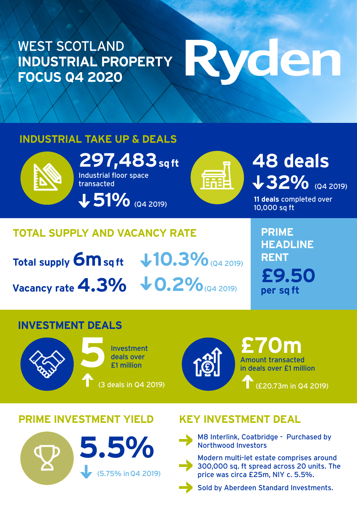#### WEST SCOTLAND **INDUSTRIAL PROPERTY FOCUS Q4 2020**

# vden

#### **INDUSTRIAL TAKE UP & DEALS**



**297,483 sq ft 48 deals** Industrial floor space transacted

**J. 51%** (Q4 2019)

## **v** 32% (04 2019)

**11 deals** completed over 10,000 sq ft

### **TOTAL SUPPLY AND VACANCY RATE Total supply 6m sq ft Vacancy rate 4.3%**  $\sqrt{0.2\%}$  (Q4 2019) **10.3%** (Q4 2019)

**PRIME HEADLINE RENT £9.50 per sq ft**

#### **INVESTMENT DEALS**





Amount transacted in deals over £1 million **£70m**

(£20.73m in Q4 2019)

#### **PRIME INVESTMENT YIELD KEY INVESTMENT DEAL**





M8 Interlink, Coatbridge - Purchased by Northwood Investors

Modern multi-let estate comprises around 300,000 sq. ft spread across 20 units. The price was circa £25m, NIY c. 5.5%.

Sold by Aberdeen Standard Investments.